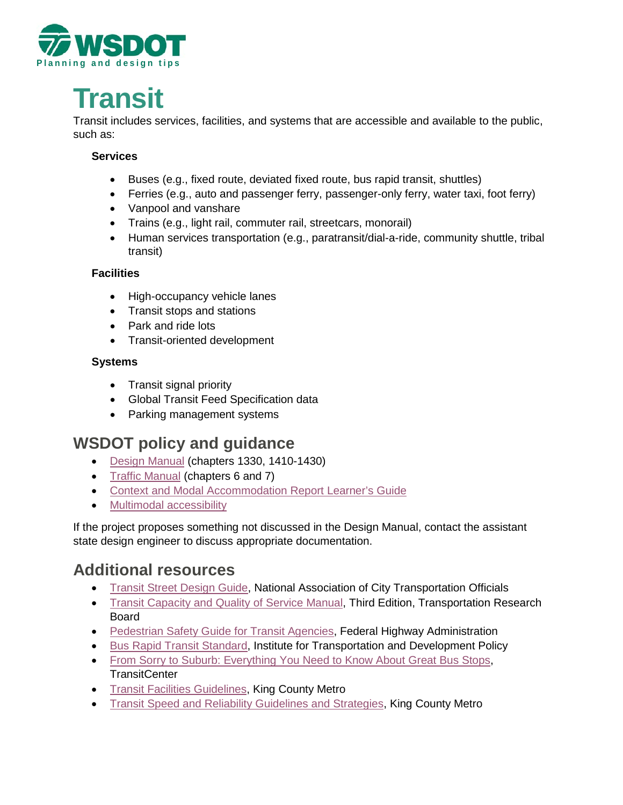

# **T ra n sit**

Tran sit inc ludes services, facilities, and systems that are accessible and available to the public, such as:

#### **Services**

- Buses (e.g., fixed route, deviated fixed route, bus rapid transit, shuttles)
- Ferries (e.g., auto and passenger ferry, passenger-only ferry, water taxi, foot ferry)
- Vanpool and vanshare
- Trains (e.g., light rail, commuter rail, streetcars, monorail)
- Human services transportation (e.g., paratransit/dial-a-ride, community shuttle, tribal transit)

#### **Facilities**

- High-occupancy vehicle lanes
- Transit stops and stations
- Park and ride lots
- Transit-oriented development

#### **Systems**

- Transit signal priority
- Global Transit Feed Specification data
- Parking management systems

# **WSDOT policy and guidance**

- [Design Manual](http://www.wsdot.wa.gov/Publications/Manuals/M22-01.htm) (chapters 1330, 1410-1430)
- [Traffic Manual](https://www.wsdot.wa.gov/Publications/Manuals/M51-02.htm) (chapters 6 and 7)
- [Context and Modal Accommodation Report Learner's Guide](http://www.wsdot.wa.gov/publications/fulltext/design/ASDE/ContextandModalAccommodationReportGuide.pdf)
- [Multimodal accessibility](https://www.wsdot.wa.gov/planning/multimodal-accessibility)

If the project proposes something not discussed in the Design Manual, contact the assistant state design engineer to discuss appropriate documentation.

## **Additional resources**

- [Transit Street Design Guide,](https://nacto.org/publication/transit-street-design-guide/) National Association of City Transportation Officials
- [Transit Capacity and Quality of Service Manual,](http://www.trb.org/Main/Blurbs/169437.aspx) Third Edition, Transportation Research Board
- [Pedestrian Safety Guide for Transit Agencies,](https://safety.fhwa.dot.gov/ped_bike/ped_transit/ped_transguide/index.cfm#toc) Federal Highway Administration
- [Bus Rapid Transit Standard,](https://www.itdp.org/library/standards-and-guides/the-bus-rapid-transit-standard/) Institute for Transportation and Development Policy
- [From Sorry to Suburb: Everything You Need to Know About Great Bus Stops,](http://transitcenter.org/wp-content/uploads/2018/10/BusReport_Spreads.pdf) **TransitCenter**
- [Transit Facilities Guidelines,](https://kingcounty.gov/%7E/media/depts/transportation/metro/about/planning/pdf/2011-21/2018/transit-facilities-guidelines.pdf) King County Metro
- [Transit Speed and Reliability Guidelines and Strategies,](https://kingcounty.gov/%7E/media/depts/transportation/metro/about/planning/speed-reliability-toolbox.pdf) King County Metro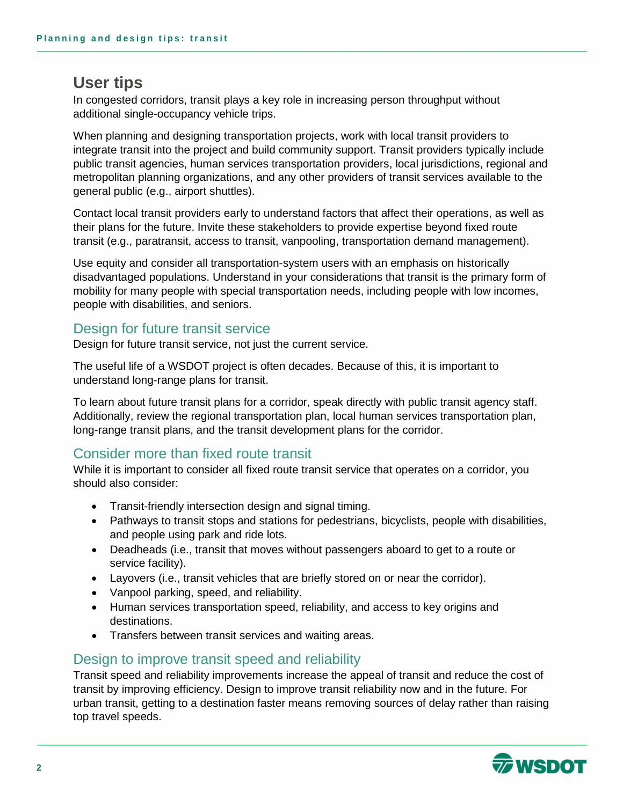## **User tips**

In congested corridors, transit plays a key role in increasing person throughput without additional single-occupancy vehicle trips.

When planning and designing transportation projects, work with local transit providers to integrate transit into the project and build community support. Transit providers typically include public transit agencies, human services transportation providers, local jurisdictions, regional and metropolitan planning organizations, and any other providers of transit services available to the general public (e.g., airport shuttles).

Contact local transit providers early to understand factors that affect their operations, as well as their plans for the future. Invite these stakeholders to provide expertise beyond fixed route transit (e.g., paratransit, access to transit, vanpooling, transportation demand management).

Use equity and consider all transportation-system users with an emphasis on historically disadvantaged populations. Understand in your considerations that transit is the primary form of mobility for many people with special transportation needs, including people with low incomes, people with disabilities, and seniors.

#### Design for future transit service

Design for future transit service, not just the current service.

The useful life of a WSDOT project is often decades. Because of this, it is important to understand long-range plans for transit.

To learn about future transit plans for a corridor, speak directly with public transit agency staff. Additionally, review the regional transportation plan, local human services transportation plan, long-range transit plans, and the transit development plans for the corridor.

#### Consider more than fixed route transit

While it is important to consider all fixed route transit service that operates on a corridor, you should also consider:

- Transit-friendly intersection design and signal timing.
- Pathways to transit stops and stations for pedestrians, bicyclists, people with disabilities, and people using park and ride lots.
- Deadheads (i.e., transit that moves without passengers aboard to get to a route or service facility).
- Layovers (i.e., transit vehicles that are briefly stored on or near the corridor).
- Vanpool parking, speed, and reliability.
- Human services transportation speed, reliability, and access to key origins and destinations.
- Transfers between transit services and waiting areas.

#### Design to improve transit speed and reliability

Transit speed and reliability improvements increase the appeal of transit and reduce the cost of transit by improving efficiency. Design to improve transit reliability now and in the future. For urban transit, getting to a destination faster means removing sources of delay rather than raising top travel speeds.